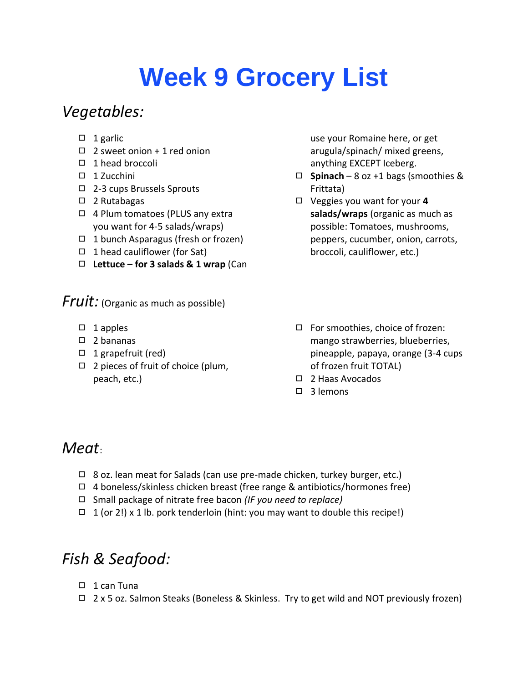# **Week 9 Grocery List**

## *Vegetables:*

- $\Box$  1 garlic
- $\Box$  2 sweet onion + 1 red onion
- ◻ 1 head broccoli
- ◻ 1 Zucchini
- ◻ 2-3 cups Brussels Sprouts
- ◻ 2 Rutabagas
- ◻ 4 Plum tomatoes (PLUS any extra you want for 4-5 salads/wraps)
- ◻ 1 bunch Asparagus (fresh or frozen)
- ◻ 1 head cauliflower (for Sat)
- ◻ **Lettuce – for 3 salads & 1 wrap** (Can

*Fruit:* (Organic as much as possible)

- ◻ 1 apples
- ◻ 2 bananas
- ◻ 1 grapefruit (red)
- ◻ 2 pieces of fruit of choice (plum, peach, etc.)

use your Romaine here, or get arugula/spinach/ mixed greens, anything EXCEPT Iceberg.

- ◻ **Spinach** 8 oz +1 bags (smoothies & Frittata)
- ◻ Veggies you want for your **4 salads/wraps** (organic as much as possible: Tomatoes, mushrooms, peppers, cucumber, onion, carrots, broccoli, cauliflower, etc.)
- ◻ For smoothies, choice of frozen: mango strawberries, blueberries, pineapple, papaya, orange (3-4 cups of frozen fruit TOTAL)
- ◻ 2 Haas Avocados
- ◻ 3 lemons

#### *Meat*:

- $\Box$  8 oz. lean meat for Salads (can use pre-made chicken, turkey burger, etc.)
- ◻ 4 boneless/skinless chicken breast (free range & antibiotics/hormones free)
- ◻ Small package of nitrate free bacon *(IF you need to replace)*
- $\Box$  1 (or 2!) x 1 lb. pork tenderloin (hint: you may want to double this recipe!)

# *Fish & Seafood:*

- ◻ 1 can Tuna
- ◻ 2 x 5 oz. Salmon Steaks (Boneless & Skinless. Try to get wild and NOT previously frozen)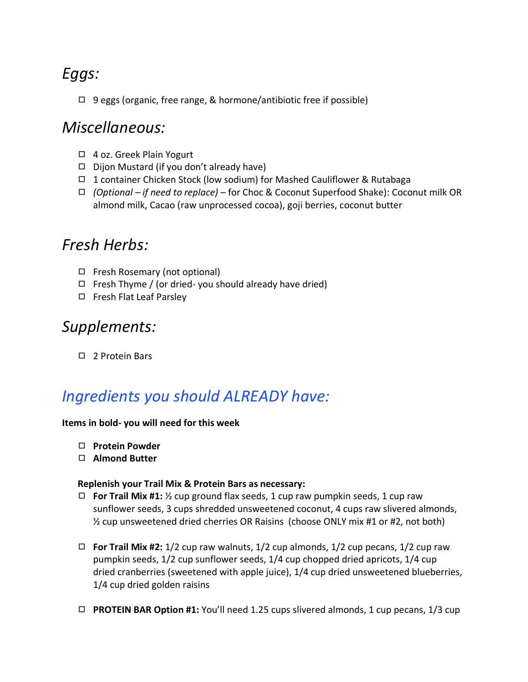## *Eggs:*

◻ 9 eggs (organic, free range, & hormone/antibiotic free if possible)

#### *Miscellaneous:*

- ◻ 4 oz. Greek Plain Yogurt
- ◻ Dijon Mustard (if you don't already have)
- ◻ 1 container Chicken Stock (low sodium) for Mashed Cauliflower & Rutabaga
- ◻ *(Optional – if need to replace)* for Choc & Coconut Superfood Shake): Coconut milk OR almond milk, Cacao (raw unprocessed cocoa), goji berries, coconut butter

### *Fresh Herbs:*

- ◻ Fresh Rosemary (not optional)
- $\Box$  Fresh Thyme / (or dried-you should already have dried)
- ◻ Fresh Flat Leaf Parsley

#### *Supplements:*

◻ 2 Protein Bars

## *Ingredients you should ALREADY have:*

#### **Items in bold- you will need for this week**

- ◻ **Protein Powder**
- ◻ **Almond Butter**

#### **Replenish your Trail Mix & Protein Bars as necessary:**

- ◻ **For Trail Mix #1:** ½ cup ground flax seeds, 1 cup raw pumpkin seeds, 1 cup raw sunflower seeds, 3 cups shredded unsweetened coconut, 4 cups raw slivered almonds, ½ cup unsweetened dried cherries OR Raisins (choose ONLY mix #1 or #2, not both)
- $\Box$  **For Trail Mix #2:** 1/2 cup raw walnuts, 1/2 cup almonds, 1/2 cup pecans, 1/2 cup raw pumpkin seeds, 1/2 cup sunflower seeds, 1/4 cup chopped dried apricots, 1/4 cup dried cranberries (sweetened with apple juice), 1/4 cup dried unsweetened blueberries, 1/4 cup dried golden raisins
- ◻ **PROTEIN BAR Option #1:** You'll need 1.25 cups slivered almonds, 1 cup pecans, 1/3 cup